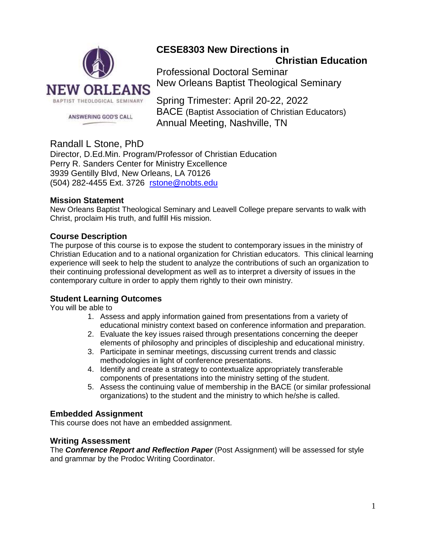

# **CESE8303 New Directions in**

**Christian Education** 

Professional Doctoral Seminar New Orleans Baptist Theological Seminary

Spring Trimester: April 20-22, 2022 BACE (Baptist Association of Christian Educators) Annual Meeting, Nashville, TN

# Randall L Stone, PhD

Director, D.Ed.Min. Program/Professor of Christian Education Perry R. Sanders Center for Ministry Excellence 3939 Gentilly Blvd, New Orleans, LA 70126 (504) 282-4455 Ext. 3726 [rstone@nobts.edu](mailto:rstone@nobts.edu)

# **Mission Statement**

New Orleans Baptist Theological Seminary and Leavell College prepare servants to walk with Christ, proclaim His truth, and fulfill His mission.

# **Course Description**

The purpose of this course is to expose the student to contemporary issues in the ministry of Christian Education and to a national organization for Christian educators. This clinical learning experience will seek to help the student to analyze the contributions of such an organization to their continuing professional development as well as to interpret a diversity of issues in the contemporary culture in order to apply them rightly to their own ministry.

# **Student Learning Outcomes**

You will be able to

- 1. Assess and apply information gained from presentations from a variety of educational ministry context based on conference information and preparation.
- 2. Evaluate the key issues raised through presentations concerning the deeper elements of philosophy and principles of discipleship and educational ministry.
- 3. Participate in seminar meetings, discussing current trends and classic methodologies in light of conference presentations.
- 4. Identify and create a strategy to contextualize appropriately transferable components of presentations into the ministry setting of the student.
- 5. Assess the continuing value of membership in the BACE (or similar professional organizations) to the student and the ministry to which he/she is called.

### **Embedded Assignment**

This course does not have an embedded assignment.

### **Writing Assessment**

The *Conference Report and Reflection Paper* (Post Assignment) will be assessed for style and grammar by the Prodoc Writing Coordinator.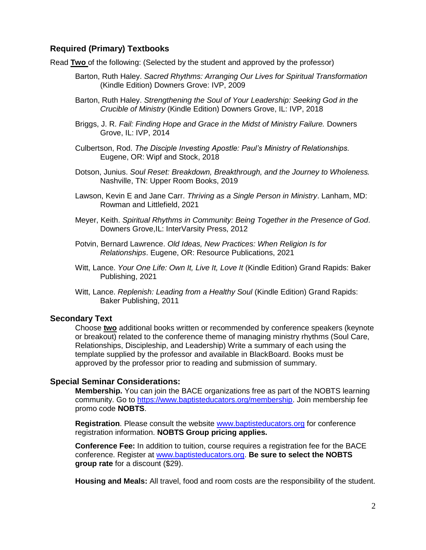#### **Required (Primary) Textbooks**

Read **Two** of the following: (Selected by the student and approved by the professor)

- Barton, Ruth Haley. *Sacred Rhythms: Arranging Our Lives for Spiritual Transformation* (Kindle Edition) Downers Grove: IVP, 2009
- Barton, Ruth Haley. *Strengthening the Soul of Your Leadership: Seeking God in the Crucible of Ministry* (Kindle Edition) Downers Grove, IL: IVP, 2018
- Briggs, J. R. *Fail: Finding Hope and Grace in the Midst of Ministry Failure.* Downers Grove, IL: IVP, 2014
- Culbertson, Rod. *The Disciple Investing Apostle: Paul's Ministry of Relationships.*  Eugene, OR: Wipf and Stock, 2018
- Dotson, Junius. *Soul Reset: Breakdown, Breakthrough, and the Journey to Wholeness.* Nashville, TN: Upper Room Books, 2019
- Lawson, Kevin E and Jane Carr. *Thriving as a Single Person in Ministry*. Lanham, MD: Rowman and Littlefield, 2021
- Meyer, Keith. *Spiritual Rhythms in Community: Being Together in the Presence of God*. Downers Grove,IL: InterVarsity Press, 2012
- Potvin, Bernard Lawrence. *Old Ideas, New Practices: When Religion Is for Relationships*. Eugene, OR: Resource Publications, 2021
- Witt, Lance. *Your One Life: Own It, Live It, Love It* (Kindle Edition) Grand Rapids: Baker Publishing, 2021
- Witt, Lance. *Replenish: Leading from a Healthy Soul* (Kindle Edition) Grand Rapids: Baker Publishing, 2011

#### **Secondary Text**

Choose **two** additional books written or recommended by conference speakers (keynote or breakout) related to the conference theme of managing ministry rhythms (Soul Care, Relationships, Discipleship, and Leadership) Write a summary of each using the template supplied by the professor and available in BlackBoard. Books must be approved by the professor prior to reading and submission of summary.

#### **Special Seminar Considerations:**

**Membership.** You can join the BACE organizations free as part of the NOBTS learning community. Go to [https://www.baptisteducators.org/membership.](https://www.baptisteducators.org/membership) Join membership fee promo code **NOBTS**.

**Registration**. Please consult the website [www.baptisteducators.org](http://www.baptisteducators.org/) for conference registration information. **NOBTS Group pricing applies.**

**Conference Fee:** In addition to tuition, course requires a registration fee for the BACE conference. Register at [www.baptisteducators.org.](http://www.baptisteducators.org/) **Be sure to select the NOBTS group rate** for a discount (\$29).

**Housing and Meals:** All travel, food and room costs are the responsibility of the student.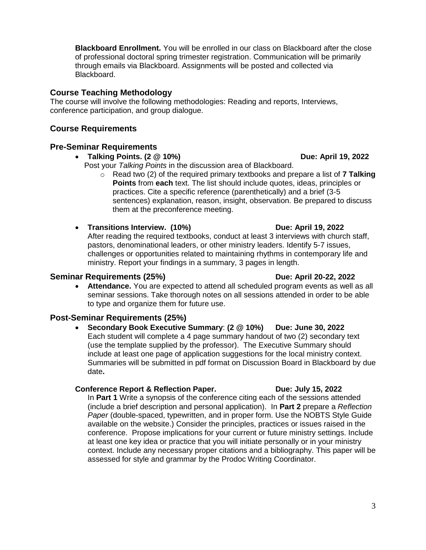**Blackboard Enrollment.** You will be enrolled in our class on Blackboard after the close of professional doctoral spring trimester registration. Communication will be primarily through emails via Blackboard. Assignments will be posted and collected via Blackboard.

#### **Course Teaching Methodology**

The course will involve the following methodologies: Reading and reports, Interviews, conference participation, and group dialogue.

#### **Course Requirements**

#### **Pre-Seminar Requirements**

- **Talking Points. (2 @ 10%) Due: April 19, 2022**
	- Post your *Talking Points* in the discussion area of Blackboard.
		- o Read two (2) of the required primary textbooks and prepare a list of **7 Talking Points** from **each** text. The list should include quotes, ideas, principles or practices. Cite a specific reference (parenthetically) and a brief (3-5 sentences) explanation, reason, insight, observation. Be prepared to discuss them at the preconference meeting.
- **Transitions Interview. (10%) Due: April 19, 2022**

After reading the required textbooks, conduct at least 3 interviews with church staff, pastors, denominational leaders, or other ministry leaders. Identify 5-7 issues, challenges or opportunities related to maintaining rhythms in contemporary life and ministry. Report your findings in a summary, 3 pages in length.

#### **Seminar Requirements (25%) Due: April 20-22, 2022**

• **Attendance.** You are expected to attend all scheduled program events as well as all seminar sessions. Take thorough notes on all sessions attended in order to be able to type and organize them for future use.

### **Post-Seminar Requirements (25%)**

• **Secondary Book Executive Summary**: **(2 @ 10%) Due: June 30, 2022** Each student will complete a 4 page summary handout of two (2) secondary text (use the template supplied by the professor). The Executive Summary should include at least one page of application suggestions for the local ministry context. Summaries will be submitted in pdf format on Discussion Board in Blackboard by due date**.** 

#### **Conference Report & Reflection Paper. Due: July 15, 2022**

In **Part 1** Write a synopsis of the conference citing each of the sessions attended (include a brief description and personal application). In **Part 2** prepare a *Reflection Paper* (double-spaced, typewritten, and in proper form. Use the NOBTS Style Guide available on the website.) Consider the principles, practices or issues raised in the conference. Propose implications for your current or future ministry settings. Include at least one key idea or practice that you will initiate personally or in your ministry context. Include any necessary proper citations and a bibliography. This paper will be assessed for style and grammar by the Prodoc Writing Coordinator.